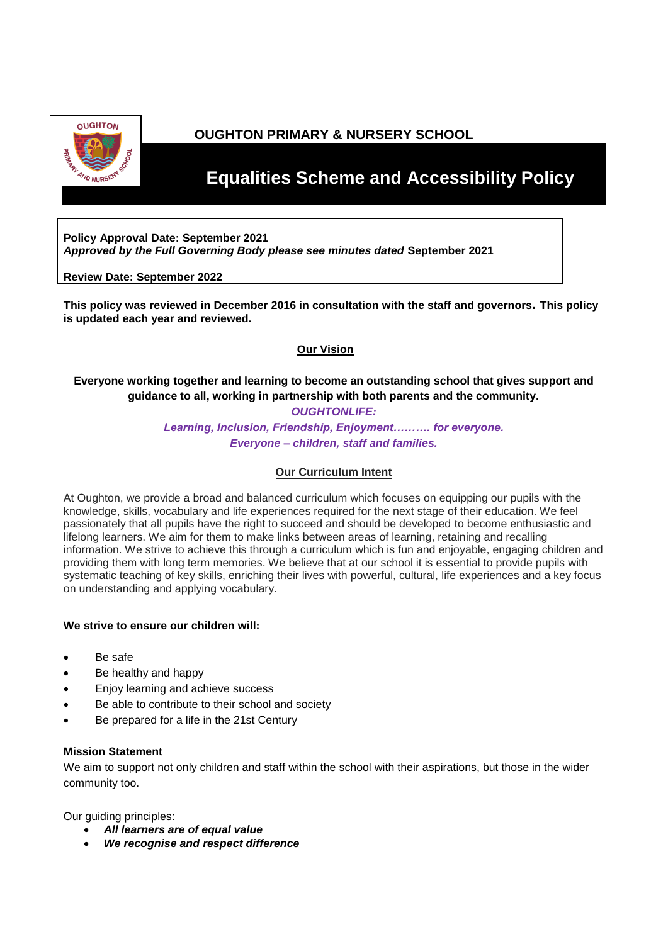

# **OUGHTON PRIMARY & NURSERY SCHOOL**

# *<b>Equalities Scheme and Accessibility Policy*

**Policy Approval Date: September 2021** *Approved by the Full Governing Body please see minutes dated* **September 2021**

**Review Date: September 2022**

**This policy was reviewed in December 2016 in consultation with the staff and governors. This policy is updated each year and reviewed.** 

# **Our Vision**

# **Everyone working together and learning to become an outstanding school that gives support and guidance to all, working in partnership with both parents and the community.**

#### *OUGHTONLIFE:*

*Learning, Inclusion, Friendship, Enjoyment………. for everyone. Everyone – children, staff and families.*

# **Our Curriculum Intent**

At Oughton, we provide a broad and balanced curriculum which focuses on equipping our pupils with the knowledge, skills, vocabulary and life experiences required for the next stage of their education. We feel passionately that all pupils have the right to succeed and should be developed to become enthusiastic and lifelong learners. We aim for them to make links between areas of learning, retaining and recalling information. We strive to achieve this through a curriculum which is fun and enjoyable, engaging children and providing them with long term memories. We believe that at our school it is essential to provide pupils with systematic teaching of key skills, enriching their lives with powerful, cultural, life experiences and a key focus on understanding and applying vocabulary.

# **We strive to ensure our children will:**

- Be safe
- Be healthy and happy
- Enjoy learning and achieve success
- Be able to contribute to their school and society
- Be prepared for a life in the 21st Century

#### **Mission Statement**

We aim to support not only children and staff within the school with their aspirations, but those in the wider community too.

Our guiding principles:

- *All learners are of equal value*
- *We recognise and respect difference*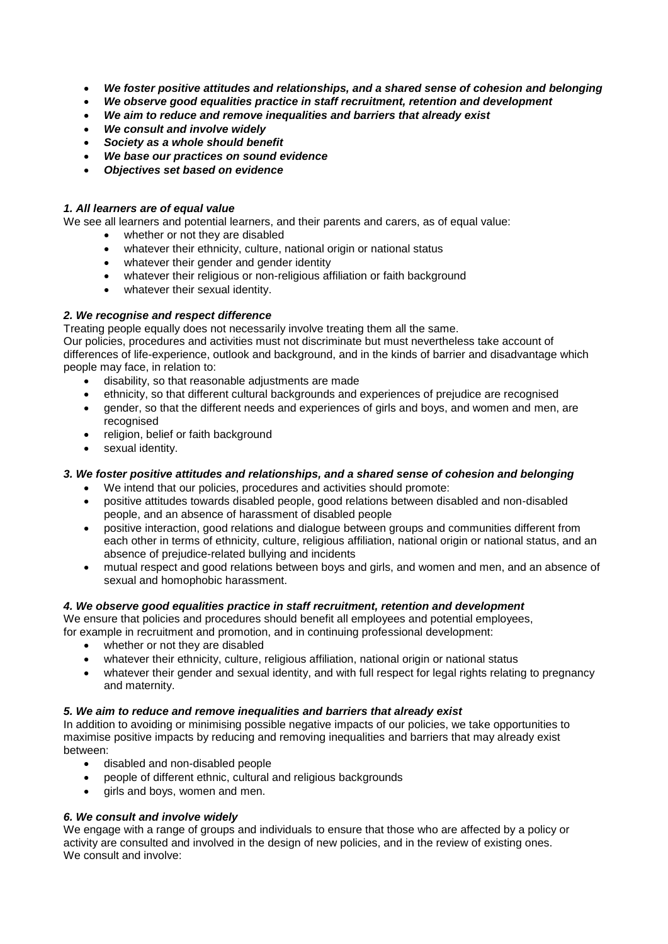- *We foster positive attitudes and relationships, and a shared sense of cohesion and belonging*
- *We observe good equalities practice in staff recruitment, retention and development*
- *We aim to reduce and remove inequalities and barriers that already exist*
- *We consult and involve widely*
- *Society as a whole should benefit*
- *We base our practices on sound evidence*
- *Objectives set based on evidence*

# *1. All learners are of equal value*

We see all learners and potential learners, and their parents and carers, as of equal value:

- whether or not they are disabled
- whatever their ethnicity, culture, national origin or national status
- whatever their gender and gender identity
- whatever their religious or non-religious affiliation or faith background
- whatever their sexual identity.

#### *2. We recognise and respect difference*

Treating people equally does not necessarily involve treating them all the same.

Our policies, procedures and activities must not discriminate but must nevertheless take account of differences of life-experience, outlook and background, and in the kinds of barrier and disadvantage which people may face, in relation to:

- disability, so that reasonable adjustments are made
- ethnicity, so that different cultural backgrounds and experiences of prejudice are recognised
- gender, so that the different needs and experiences of girls and boys, and women and men, are recognised
- religion, belief or faith background
- sexual identity.

# *3. We foster positive attitudes and relationships, and a shared sense of cohesion and belonging*

- We intend that our policies, procedures and activities should promote:
- positive attitudes towards disabled people, good relations between disabled and non-disabled people, and an absence of harassment of disabled people
- positive interaction, good relations and dialogue between groups and communities different from each other in terms of ethnicity, culture, religious affiliation, national origin or national status, and an absence of prejudice-related bullying and incidents
- mutual respect and good relations between boys and girls, and women and men, and an absence of sexual and homophobic harassment.

# *4. We observe good equalities practice in staff recruitment, retention and development*

We ensure that policies and procedures should benefit all employees and potential employees,

- for example in recruitment and promotion, and in continuing professional development:
	- whether or not they are disabled
	- whatever their ethnicity, culture, religious affiliation, national origin or national status
	- whatever their gender and sexual identity, and with full respect for legal rights relating to pregnancy and maternity.

#### *5. We aim to reduce and remove inequalities and barriers that already exist*

In addition to avoiding or minimising possible negative impacts of our policies, we take opportunities to maximise positive impacts by reducing and removing inequalities and barriers that may already exist between:

- disabled and non-disabled people
- people of different ethnic, cultural and religious backgrounds
- girls and boys, women and men.

# *6. We consult and involve widely*

We engage with a range of groups and individuals to ensure that those who are affected by a policy or activity are consulted and involved in the design of new policies, and in the review of existing ones. We consult and involve: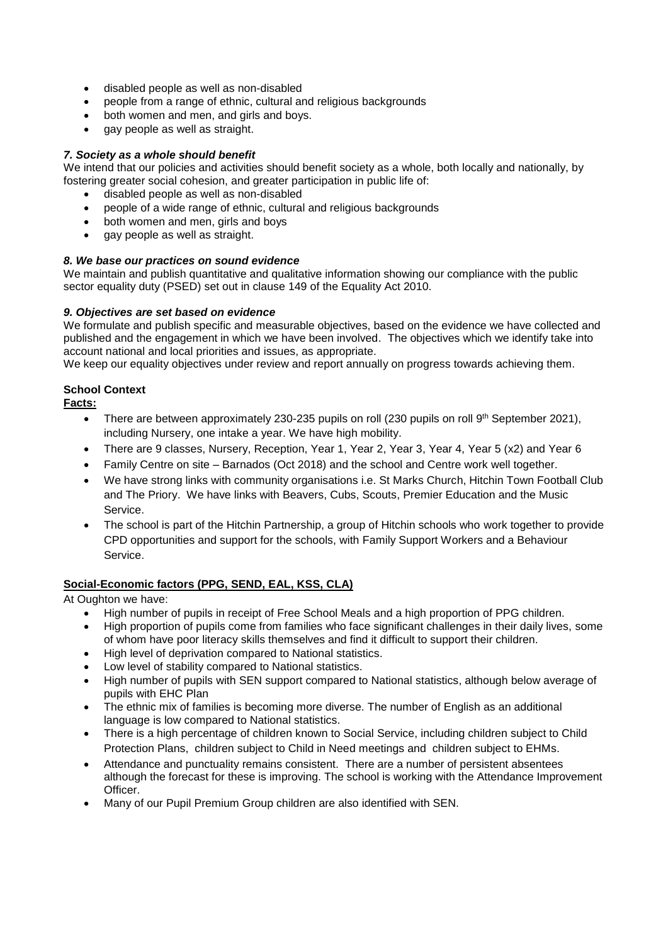- disabled people as well as non-disabled
- people from a range of ethnic, cultural and religious backgrounds
- both women and men, and girls and boys.
- gay people as well as straight.

# *7. Society as a whole should benefit*

We intend that our policies and activities should benefit society as a whole, both locally and nationally, by fostering greater social cohesion, and greater participation in public life of:

- disabled people as well as non-disabled
- people of a wide range of ethnic, cultural and religious backgrounds
- both women and men, girls and boys
- gay people as well as straight.

# *8. We base our practices on sound evidence*

We maintain and publish quantitative and qualitative information showing our compliance with the public sector equality duty (PSED) set out in clause 149 of the Equality Act 2010.

# *9. Objectives are set based on evidence*

We formulate and publish specific and measurable objectives, based on the evidence we have collected and published and the engagement in which we have been involved. The objectives which we identify take into account national and local priorities and issues, as appropriate.

We keep our equality objectives under review and report annually on progress towards achieving them.

# **School Context**

# **Facts:**

- There are between approximately 230-235 pupils on roll (230 pupils on roll  $9<sup>th</sup>$  September 2021), including Nursery, one intake a year. We have high mobility.
- There are 9 classes, Nursery, Reception, Year 1, Year 2, Year 3, Year 4, Year 5 (x2) and Year 6
- Family Centre on site Barnados (Oct 2018) and the school and Centre work well together.
- We have strong links with community organisations i.e. St Marks Church, Hitchin Town Football Club and The Priory. We have links with Beavers, Cubs, Scouts, Premier Education and the Music Service.
- The school is part of the Hitchin Partnership, a group of Hitchin schools who work together to provide CPD opportunities and support for the schools, with Family Support Workers and a Behaviour **Service**

# **Social-Economic factors (PPG, SEND, EAL, KSS, CLA)**

At Oughton we have:

- High number of pupils in receipt of Free School Meals and a high proportion of PPG children.
- High proportion of pupils come from families who face significant challenges in their daily lives, some of whom have poor literacy skills themselves and find it difficult to support their children.
- High level of deprivation compared to National statistics.
- Low level of stability compared to National statistics.
- High number of pupils with SEN support compared to National statistics, although below average of pupils with EHC Plan
- The ethnic mix of families is becoming more diverse. The number of English as an additional language is low compared to National statistics.
- There is a high percentage of children known to Social Service, including children subject to Child Protection Plans, children subject to Child in Need meetings and children subject to EHMs.
- Attendance and punctuality remains consistent. There are a number of persistent absentees although the forecast for these is improving. The school is working with the Attendance Improvement Officer.
- Many of our Pupil Premium Group children are also identified with SEN.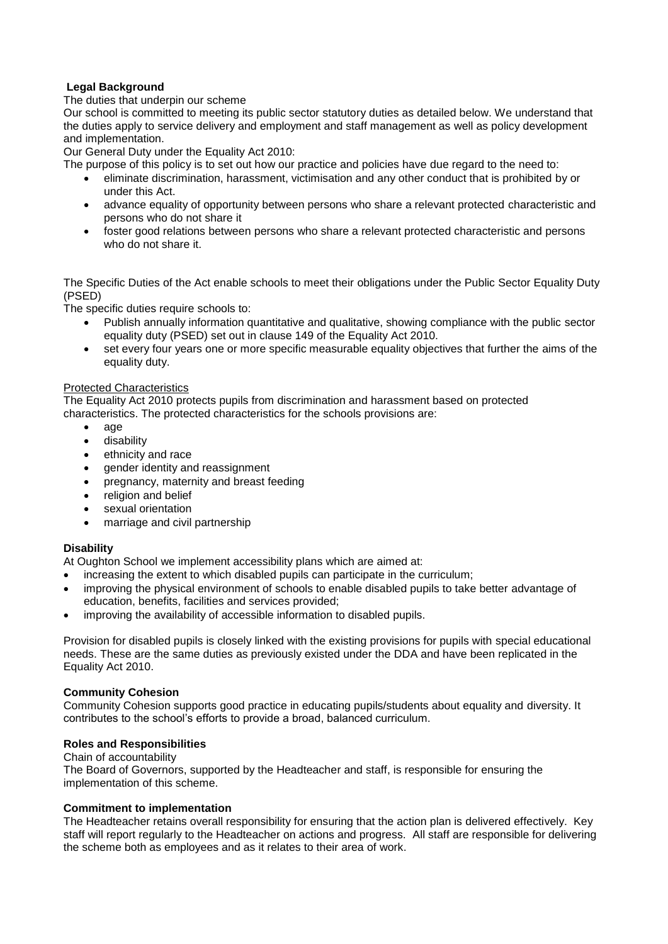# **Legal Background**

#### The duties that underpin our scheme

Our school is committed to meeting its public sector statutory duties as detailed below. We understand that the duties apply to service delivery and employment and staff management as well as policy development and implementation.

Our General Duty under the Equality Act 2010:

The purpose of this policy is to set out how our practice and policies have due regard to the need to:

- eliminate discrimination, harassment, victimisation and any other conduct that is prohibited by or under this Act.
- advance equality of opportunity between persons who share a relevant protected characteristic and persons who do not share it
- foster good relations between persons who share a relevant protected characteristic and persons who do not share it.

The Specific Duties of the Act enable schools to meet their obligations under the Public Sector Equality Duty (PSED)

The specific duties require schools to:

- Publish annually information quantitative and qualitative, showing compliance with the public sector equality duty (PSED) set out in clause 149 of the Equality Act 2010.
- set every four years one or more specific measurable equality objectives that further the aims of the equality duty.

#### Protected Characteristics

The Equality Act 2010 protects pupils from discrimination and harassment based on protected characteristics. The protected characteristics for the schools provisions are:

- age
- **•** disability
- ethnicity and race
- gender identity and reassignment
- pregnancy, maternity and breast feeding
- religion and belief
- sexual orientation
- marriage and civil partnership

# **Disability**

At Oughton School we implement accessibility plans which are aimed at:

- increasing the extent to which disabled pupils can participate in the curriculum;
- improving the physical environment of schools to enable disabled pupils to take better advantage of education, benefits, facilities and services provided;
- improving the availability of accessible information to disabled pupils.

Provision for disabled pupils is closely linked with the existing provisions for pupils with special educational needs. These are the same duties as previously existed under the DDA and have been replicated in the Equality Act 2010.

# **Community Cohesion**

Community Cohesion supports good practice in educating pupils/students about equality and diversity. It contributes to the school's efforts to provide a broad, balanced curriculum.

# **Roles and Responsibilities**

Chain of accountability

The Board of Governors, supported by the Headteacher and staff, is responsible for ensuring the implementation of this scheme.

#### **Commitment to implementation**

The Headteacher retains overall responsibility for ensuring that the action plan is delivered effectively. Key staff will report regularly to the Headteacher on actions and progress. All staff are responsible for delivering the scheme both as employees and as it relates to their area of work.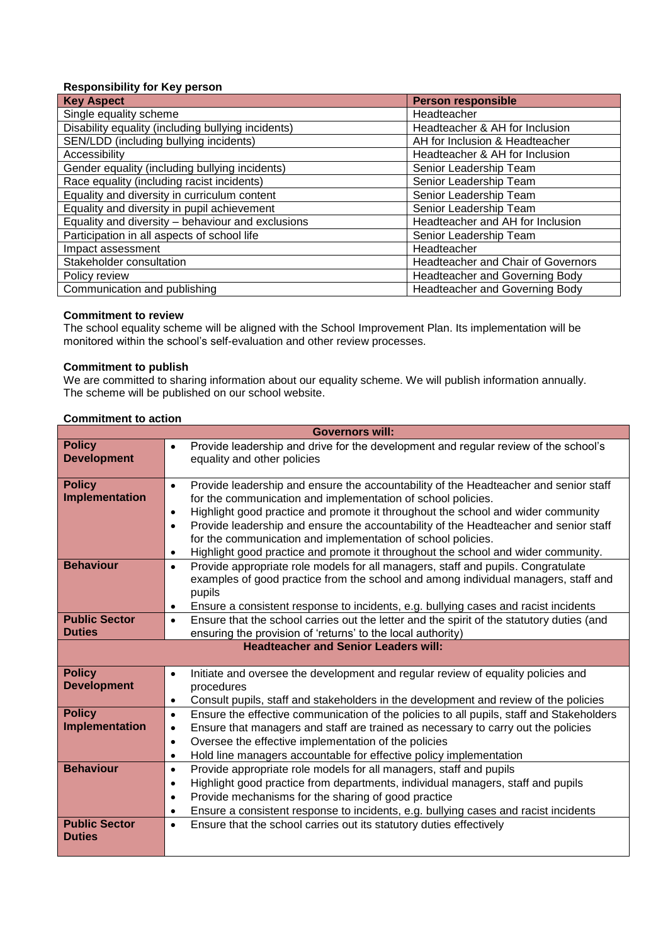# **Responsibility for Key person**

| <b>Key Aspect</b>                                  | <b>Person responsible</b>                 |
|----------------------------------------------------|-------------------------------------------|
| Single equality scheme                             | Headteacher                               |
| Disability equality (including bullying incidents) | Headteacher & AH for Inclusion            |
| SEN/LDD (including bullying incidents)             | AH for Inclusion & Headteacher            |
| Accessibility                                      | Headteacher & AH for Inclusion            |
| Gender equality (including bullying incidents)     | Senior Leadership Team                    |
| Race equality (including racist incidents)         | Senior Leadership Team                    |
| Equality and diversity in curriculum content       | Senior Leadership Team                    |
| Equality and diversity in pupil achievement        | Senior Leadership Team                    |
| Equality and diversity - behaviour and exclusions  | Headteacher and AH for Inclusion          |
| Participation in all aspects of school life        | Senior Leadership Team                    |
| Impact assessment                                  | Headteacher                               |
| Stakeholder consultation                           | <b>Headteacher and Chair of Governors</b> |
| Policy review                                      | Headteacher and Governing Body            |
| Communication and publishing                       | Headteacher and Governing Body            |

# **Commitment to review**

The school equality scheme will be aligned with the School Improvement Plan. Its implementation will be monitored within the school's self-evaluation and other review processes.

#### **Commitment to publish**

We are committed to sharing information about our equality scheme. We will publish information annually. The scheme will be published on our school website.

|                                       | <b>Governors will:</b>                                                                                                                                                                                                                                                                                                                                                                                                                                                                                                            |
|---------------------------------------|-----------------------------------------------------------------------------------------------------------------------------------------------------------------------------------------------------------------------------------------------------------------------------------------------------------------------------------------------------------------------------------------------------------------------------------------------------------------------------------------------------------------------------------|
| <b>Policy</b><br><b>Development</b>   | Provide leadership and drive for the development and regular review of the school's<br>equality and other policies                                                                                                                                                                                                                                                                                                                                                                                                                |
| <b>Policy</b><br>Implementation       | Provide leadership and ensure the accountability of the Headteacher and senior staff<br>$\bullet$<br>for the communication and implementation of school policies.<br>Highlight good practice and promote it throughout the school and wider community<br>$\bullet$<br>Provide leadership and ensure the accountability of the Headteacher and senior staff<br>$\bullet$<br>for the communication and implementation of school policies.<br>Highlight good practice and promote it throughout the school and wider community.<br>٠ |
| <b>Behaviour</b>                      | Provide appropriate role models for all managers, staff and pupils. Congratulate<br>$\bullet$<br>examples of good practice from the school and among individual managers, staff and<br>pupils<br>Ensure a consistent response to incidents, e.g. bullying cases and racist incidents<br>$\bullet$                                                                                                                                                                                                                                 |
| <b>Public Sector</b><br><b>Duties</b> | Ensure that the school carries out the letter and the spirit of the statutory duties (and<br>$\bullet$<br>ensuring the provision of 'returns' to the local authority)                                                                                                                                                                                                                                                                                                                                                             |
|                                       | <b>Headteacher and Senior Leaders will:</b>                                                                                                                                                                                                                                                                                                                                                                                                                                                                                       |
| <b>Policy</b><br><b>Development</b>   | Initiate and oversee the development and regular review of equality policies and<br>$\bullet$<br>procedures                                                                                                                                                                                                                                                                                                                                                                                                                       |
|                                       | Consult pupils, staff and stakeholders in the development and review of the policies<br>$\bullet$                                                                                                                                                                                                                                                                                                                                                                                                                                 |
| <b>Policy</b><br>Implementation       | Ensure the effective communication of the policies to all pupils, staff and Stakeholders<br>$\bullet$<br>Ensure that managers and staff are trained as necessary to carry out the policies<br>$\bullet$<br>Oversee the effective implementation of the policies<br>$\bullet$<br>Hold line managers accountable for effective policy implementation<br>$\bullet$                                                                                                                                                                   |
| <b>Behaviour</b>                      | Provide appropriate role models for all managers, staff and pupils<br>$\bullet$<br>Highlight good practice from departments, individual managers, staff and pupils<br>$\bullet$<br>Provide mechanisms for the sharing of good practice<br>$\bullet$<br>Ensure a consistent response to incidents, e.g. bullying cases and racist incidents<br>$\bullet$                                                                                                                                                                           |

#### **Commitment to action**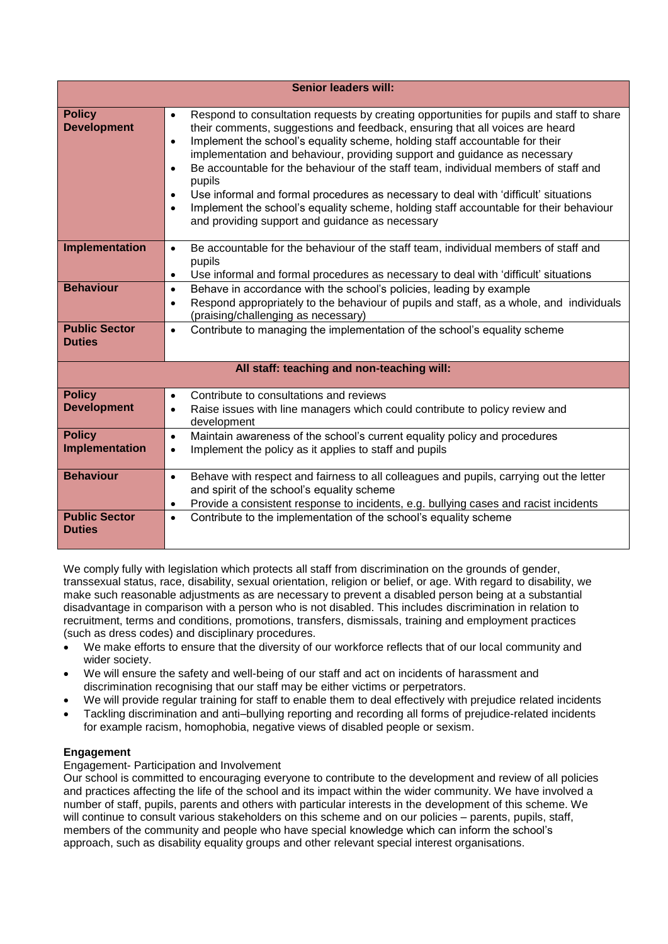|                                       | <b>Senior leaders will:</b>                                                                                                                                                                                                                                                                                                                                                                                                                                                                                                                                                                                                                                                                                                               |
|---------------------------------------|-------------------------------------------------------------------------------------------------------------------------------------------------------------------------------------------------------------------------------------------------------------------------------------------------------------------------------------------------------------------------------------------------------------------------------------------------------------------------------------------------------------------------------------------------------------------------------------------------------------------------------------------------------------------------------------------------------------------------------------------|
| <b>Policy</b><br><b>Development</b>   | Respond to consultation requests by creating opportunities for pupils and staff to share<br>$\bullet$<br>their comments, suggestions and feedback, ensuring that all voices are heard<br>Implement the school's equality scheme, holding staff accountable for their<br>$\bullet$<br>implementation and behaviour, providing support and guidance as necessary<br>Be accountable for the behaviour of the staff team, individual members of staff and<br>$\bullet$<br>pupils<br>Use informal and formal procedures as necessary to deal with 'difficult' situations<br>$\bullet$<br>Implement the school's equality scheme, holding staff accountable for their behaviour<br>$\bullet$<br>and providing support and guidance as necessary |
| Implementation                        | Be accountable for the behaviour of the staff team, individual members of staff and<br>$\bullet$<br>pupils<br>Use informal and formal procedures as necessary to deal with 'difficult' situations<br>$\bullet$                                                                                                                                                                                                                                                                                                                                                                                                                                                                                                                            |
| <b>Behaviour</b>                      | Behave in accordance with the school's policies, leading by example<br>$\bullet$<br>Respond appropriately to the behaviour of pupils and staff, as a whole, and individuals<br>$\bullet$<br>(praising/challenging as necessary)                                                                                                                                                                                                                                                                                                                                                                                                                                                                                                           |
| <b>Public Sector</b><br><b>Duties</b> | Contribute to managing the implementation of the school's equality scheme<br>$\bullet$                                                                                                                                                                                                                                                                                                                                                                                                                                                                                                                                                                                                                                                    |
|                                       | All staff: teaching and non-teaching will:                                                                                                                                                                                                                                                                                                                                                                                                                                                                                                                                                                                                                                                                                                |
| <b>Policy</b><br><b>Development</b>   | Contribute to consultations and reviews<br>$\bullet$<br>Raise issues with line managers which could contribute to policy review and<br>$\bullet$<br>development                                                                                                                                                                                                                                                                                                                                                                                                                                                                                                                                                                           |
| <b>Policy</b><br>Implementation       | Maintain awareness of the school's current equality policy and procedures<br>$\bullet$<br>Implement the policy as it applies to staff and pupils<br>$\bullet$                                                                                                                                                                                                                                                                                                                                                                                                                                                                                                                                                                             |
| <b>Behaviour</b>                      | Behave with respect and fairness to all colleagues and pupils, carrying out the letter<br>$\bullet$<br>and spirit of the school's equality scheme<br>Provide a consistent response to incidents, e.g. bullying cases and racist incidents<br>$\bullet$                                                                                                                                                                                                                                                                                                                                                                                                                                                                                    |
| <b>Public Sector</b><br><b>Duties</b> | Contribute to the implementation of the school's equality scheme<br>$\bullet$                                                                                                                                                                                                                                                                                                                                                                                                                                                                                                                                                                                                                                                             |

We comply fully with legislation which protects all staff from discrimination on the grounds of gender, transsexual status, race, disability, sexual orientation, religion or belief, or age. With regard to disability, we make such reasonable adjustments as are necessary to prevent a disabled person being at a substantial disadvantage in comparison with a person who is not disabled. This includes discrimination in relation to recruitment, terms and conditions, promotions, transfers, dismissals, training and employment practices (such as dress codes) and disciplinary procedures.

- We make efforts to ensure that the diversity of our workforce reflects that of our local community and wider society.
- We will ensure the safety and well-being of our staff and act on incidents of harassment and discrimination recognising that our staff may be either victims or perpetrators.
- We will provide regular training for staff to enable them to deal effectively with prejudice related incidents
- Tackling discrimination and anti–bullying reporting and recording all forms of prejudice-related incidents for example racism, homophobia, negative views of disabled people or sexism.

# **Engagement**

# Engagement- Participation and Involvement

Our school is committed to encouraging everyone to contribute to the development and review of all policies and practices affecting the life of the school and its impact within the wider community. We have involved a number of staff, pupils, parents and others with particular interests in the development of this scheme. We will continue to consult various stakeholders on this scheme and on our policies – parents, pupils, staff, members of the community and people who have special knowledge which can inform the school's approach, such as disability equality groups and other relevant special interest organisations.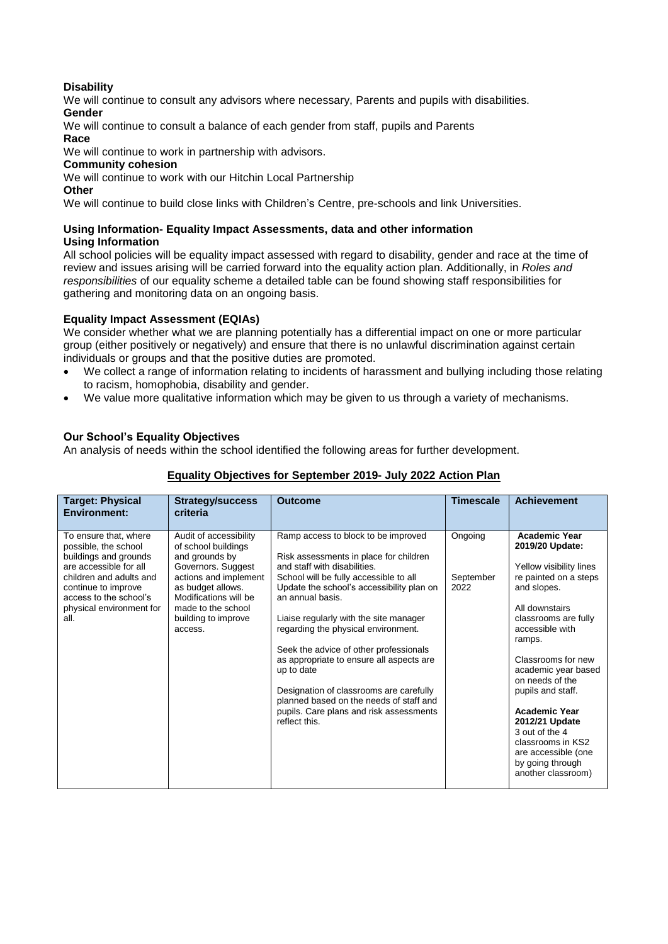# **Disability**

We will continue to consult any advisors where necessary, Parents and pupils with disabilities. **Gender**

We will continue to consult a balance of each gender from staff, pupils and Parents **Race**

We will continue to work in partnership with advisors.

#### **Community cohesion**

We will continue to work with our Hitchin Local Partnership

# **Other**

We will continue to build close links with Children's Centre, pre-schools and link Universities.

#### **Using Information- Equality Impact Assessments, data and other information Using Information**

All school policies will be equality impact assessed with regard to disability, gender and race at the time of review and issues arising will be carried forward into the equality action plan. Additionally, in *Roles and responsibilities* of our equality scheme a detailed table can be found showing staff responsibilities for gathering and monitoring data on an ongoing basis.

# **Equality Impact Assessment (EQIAs)**

We consider whether what we are planning potentially has a differential impact on one or more particular group (either positively or negatively) and ensure that there is no unlawful discrimination against certain individuals or groups and that the positive duties are promoted.

- We collect a range of information relating to incidents of harassment and bullying including those relating to racism, homophobia, disability and gender.
- We value more qualitative information which may be given to us through a variety of mechanisms.

# **Our School's Equality Objectives**

An analysis of needs within the school identified the following areas for further development.

# **Equality Objectives for September 2019- July 2022 Action Plan**

| <b>Target: Physical</b><br><b>Environment:</b>                                                                                                                                                                   | <b>Strategy/success</b><br>criteria                                                                                                                                                                                  | Outcome                                                                                                                                                                                                                                                                                                                                                                                                                                                                                                                                                        | <b>Timescale</b>             | <b>Achievement</b>                                                                                                                                                                                                                                                                                                                                                                                                       |
|------------------------------------------------------------------------------------------------------------------------------------------------------------------------------------------------------------------|----------------------------------------------------------------------------------------------------------------------------------------------------------------------------------------------------------------------|----------------------------------------------------------------------------------------------------------------------------------------------------------------------------------------------------------------------------------------------------------------------------------------------------------------------------------------------------------------------------------------------------------------------------------------------------------------------------------------------------------------------------------------------------------------|------------------------------|--------------------------------------------------------------------------------------------------------------------------------------------------------------------------------------------------------------------------------------------------------------------------------------------------------------------------------------------------------------------------------------------------------------------------|
| To ensure that, where<br>possible, the school<br>buildings and grounds<br>are accessible for all<br>children and adults and<br>continue to improve<br>access to the school's<br>physical environment for<br>all. | Audit of accessibility<br>of school buildings<br>and grounds by<br>Governors. Suggest<br>actions and implement<br>as budget allows.<br>Modifications will be<br>made to the school<br>building to improve<br>access. | Ramp access to block to be improved<br>Risk assessments in place for children<br>and staff with disabilities.<br>School will be fully accessible to all<br>Update the school's accessibility plan on<br>an annual basis.<br>Liaise regularly with the site manager<br>regarding the physical environment.<br>Seek the advice of other professionals<br>as appropriate to ensure all aspects are<br>up to date<br>Designation of classrooms are carefully<br>planned based on the needs of staff and<br>pupils. Care plans and risk assessments<br>reflect this | Ongoing<br>September<br>2022 | <b>Academic Year</b><br>2019/20 Update:<br>Yellow visibility lines<br>re painted on a steps<br>and slopes.<br>All downstairs<br>classrooms are fully<br>accessible with<br>ramps.<br>Classrooms for new<br>academic year based<br>on needs of the<br>pupils and staff.<br><b>Academic Year</b><br>2012/21 Update<br>3 out of the 4<br>classrooms in KS2<br>are accessible (one<br>by going through<br>another classroom) |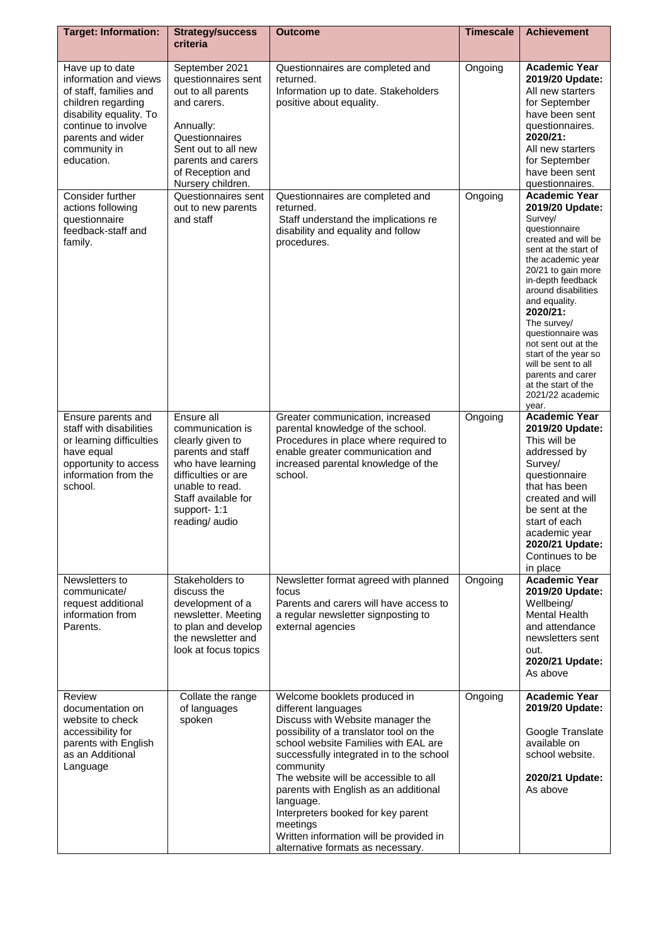| <b>Target: Information:</b>                                                                                                                                                                   | <b>Strategy/success</b>                                                                                                                                                                         | <b>Outcome</b>                                                                                                                                                                                                                                                                                                                                                                                                                                                       | <b>Timescale</b> | <b>Achievement</b>                                                                                                                                                                                                                                                                                                                                                                                                        |
|-----------------------------------------------------------------------------------------------------------------------------------------------------------------------------------------------|-------------------------------------------------------------------------------------------------------------------------------------------------------------------------------------------------|----------------------------------------------------------------------------------------------------------------------------------------------------------------------------------------------------------------------------------------------------------------------------------------------------------------------------------------------------------------------------------------------------------------------------------------------------------------------|------------------|---------------------------------------------------------------------------------------------------------------------------------------------------------------------------------------------------------------------------------------------------------------------------------------------------------------------------------------------------------------------------------------------------------------------------|
|                                                                                                                                                                                               | criteria                                                                                                                                                                                        |                                                                                                                                                                                                                                                                                                                                                                                                                                                                      |                  |                                                                                                                                                                                                                                                                                                                                                                                                                           |
| Have up to date<br>information and views<br>of staff, families and<br>children regarding<br>disability equality. To<br>continue to involve<br>parents and wider<br>community in<br>education. | September 2021<br>questionnaires sent<br>out to all parents<br>and carers.<br>Annually:<br>Questionnaires<br>Sent out to all new<br>parents and carers<br>of Reception and<br>Nursery children. | Questionnaires are completed and<br>returned.<br>Information up to date. Stakeholders<br>positive about equality.                                                                                                                                                                                                                                                                                                                                                    | Ongoing          | <b>Academic Year</b><br>2019/20 Update:<br>All new starters<br>for September<br>have been sent<br>questionnaires.<br>2020/21:<br>All new starters<br>for September<br>have been sent<br>questionnaires.                                                                                                                                                                                                                   |
| Consider further<br>actions following<br>questionnaire<br>feedback-staff and<br>family.                                                                                                       | Questionnaires sent<br>out to new parents<br>and staff                                                                                                                                          | Questionnaires are completed and<br>returned.<br>Staff understand the implications re<br>disability and equality and follow<br>procedures.                                                                                                                                                                                                                                                                                                                           | Ongoing          | <b>Academic Year</b><br>2019/20 Update:<br>Survey/<br>questionnaire<br>created and will be<br>sent at the start of<br>the academic year<br>20/21 to gain more<br>in-depth feedback<br>around disabilities<br>and equality.<br>2020/21:<br>The survey/<br>questionnaire was<br>not sent out at the<br>start of the year so<br>will be sent to all<br>parents and carer<br>at the start of the<br>2021/22 academic<br>year. |
| Ensure parents and<br>staff with disabilities<br>or learning difficulties<br>have equal<br>opportunity to access<br>information from the<br>school.                                           | Ensure all<br>communication is<br>clearly given to<br>parents and staff<br>who have learning<br>difficulties or are<br>unable to read.<br>Staff available for<br>support-1:1<br>reading/ audio  | Greater communication, increased<br>parental knowledge of the school.<br>Procedures in place where required to<br>enable greater communication and<br>increased parental knowledge of the<br>school.                                                                                                                                                                                                                                                                 | Ongoing          | <b>Academic Year</b><br>2019/20 Update:<br>This will be<br>addressed by<br>Survey/<br>questionnaire<br>that has been<br>created and will<br>be sent at the<br>start of each<br>academic year<br>2020/21 Update:<br>Continues to be<br>in place                                                                                                                                                                            |
| Newsletters to<br>communicate/<br>request additional<br>information from<br>Parents.                                                                                                          | Stakeholders to<br>discuss the<br>development of a<br>newsletter. Meeting<br>to plan and develop<br>the newsletter and<br>look at focus topics                                                  | Newsletter format agreed with planned<br>focus<br>Parents and carers will have access to<br>a regular newsletter signposting to<br>external agencies                                                                                                                                                                                                                                                                                                                 | Ongoing          | <b>Academic Year</b><br>2019/20 Update:<br>Wellbeing/<br>Mental Health<br>and attendance<br>newsletters sent<br>out.<br>2020/21 Update:<br>As above                                                                                                                                                                                                                                                                       |
| Review<br>documentation on<br>website to check<br>accessibility for<br>parents with English<br>as an Additional<br>Language                                                                   | Collate the range<br>of languages<br>spoken                                                                                                                                                     | Welcome booklets produced in<br>different languages<br>Discuss with Website manager the<br>possibility of a translator tool on the<br>school website Families with EAL are<br>successfully integrated in to the school<br>community<br>The website will be accessible to all<br>parents with English as an additional<br>language.<br>Interpreters booked for key parent<br>meetings<br>Written information will be provided in<br>alternative formats as necessary. | Ongoing          | <b>Academic Year</b><br>2019/20 Update:<br>Google Translate<br>available on<br>school website.<br>2020/21 Update:<br>As above                                                                                                                                                                                                                                                                                             |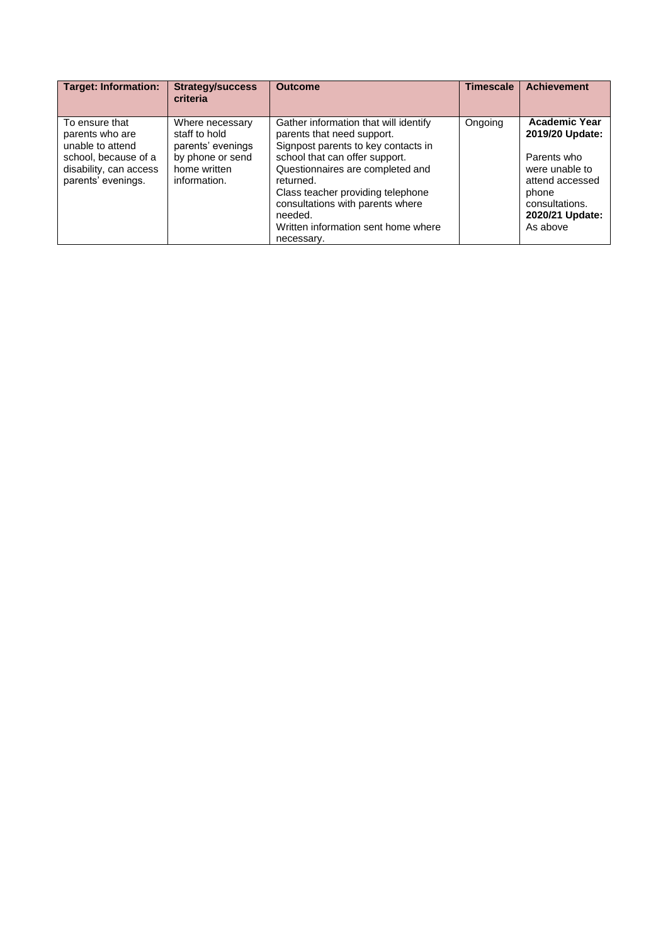| <b>Target: Information:</b>                                                                                                   | <b>Strategy/success</b><br>criteria                                                                       | <b>Outcome</b>                                                                                                                                                                                                                                                                                                                         | <b>Timescale</b> | <b>Achievement</b>                                                                                                                                    |
|-------------------------------------------------------------------------------------------------------------------------------|-----------------------------------------------------------------------------------------------------------|----------------------------------------------------------------------------------------------------------------------------------------------------------------------------------------------------------------------------------------------------------------------------------------------------------------------------------------|------------------|-------------------------------------------------------------------------------------------------------------------------------------------------------|
| To ensure that<br>parents who are<br>unable to attend<br>school, because of a<br>disability, can access<br>parents' evenings. | Where necessary<br>staff to hold<br>parents' evenings<br>by phone or send<br>home written<br>information. | Gather information that will identify<br>parents that need support.<br>Signpost parents to key contacts in<br>school that can offer support.<br>Questionnaires are completed and<br>returned.<br>Class teacher providing telephone<br>consultations with parents where<br>needed.<br>Written information sent home where<br>necessary. | Ongoing          | <b>Academic Year</b><br>2019/20 Update:<br>Parents who<br>were unable to<br>attend accessed<br>phone<br>consultations.<br>2020/21 Update:<br>As above |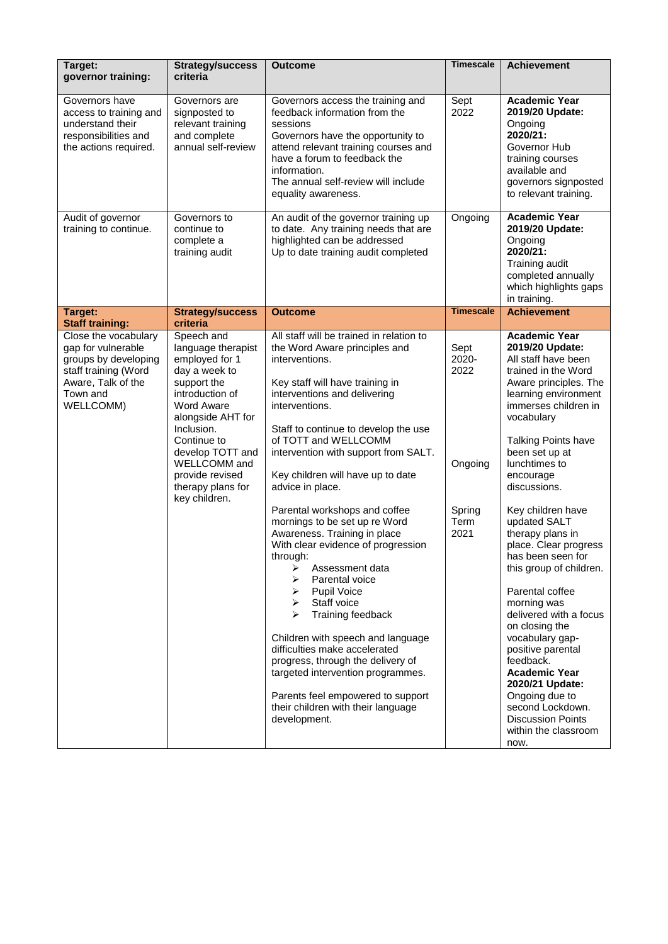| Target:<br>governor training:                                                                                                                    | <b>Strategy/success</b><br>criteria                                                                                                                                                                                                                                       | <b>Outcome</b>                                                                                                                                                                                                                                                                                                                                                                                                                                                                                                                                                                                                                                                                                                                                                                                                                                                      | <b>Timescale</b>                                           | <b>Achievement</b>                                                                                                                                                                                                                                                                                                                                                                                                                                                                                                                                                                                                                                                                           |
|--------------------------------------------------------------------------------------------------------------------------------------------------|---------------------------------------------------------------------------------------------------------------------------------------------------------------------------------------------------------------------------------------------------------------------------|---------------------------------------------------------------------------------------------------------------------------------------------------------------------------------------------------------------------------------------------------------------------------------------------------------------------------------------------------------------------------------------------------------------------------------------------------------------------------------------------------------------------------------------------------------------------------------------------------------------------------------------------------------------------------------------------------------------------------------------------------------------------------------------------------------------------------------------------------------------------|------------------------------------------------------------|----------------------------------------------------------------------------------------------------------------------------------------------------------------------------------------------------------------------------------------------------------------------------------------------------------------------------------------------------------------------------------------------------------------------------------------------------------------------------------------------------------------------------------------------------------------------------------------------------------------------------------------------------------------------------------------------|
| Governors have<br>access to training and<br>understand their<br>responsibilities and<br>the actions required.                                    | Governors are<br>signposted to<br>relevant training<br>and complete<br>annual self-review                                                                                                                                                                                 | Governors access the training and<br>feedback information from the<br>sessions<br>Governors have the opportunity to<br>attend relevant training courses and<br>have a forum to feedback the<br>information.<br>The annual self-review will include<br>equality awareness.                                                                                                                                                                                                                                                                                                                                                                                                                                                                                                                                                                                           | Sept<br>2022                                               | <b>Academic Year</b><br>2019/20 Update:<br>Ongoing<br>2020/21:<br>Governor Hub<br>training courses<br>available and<br>governors signposted<br>to relevant training.                                                                                                                                                                                                                                                                                                                                                                                                                                                                                                                         |
| Audit of governor<br>training to continue.                                                                                                       | Governors to<br>continue to<br>complete a<br>training audit                                                                                                                                                                                                               | An audit of the governor training up<br>to date. Any training needs that are<br>highlighted can be addressed<br>Up to date training audit completed                                                                                                                                                                                                                                                                                                                                                                                                                                                                                                                                                                                                                                                                                                                 | Ongoing                                                    | <b>Academic Year</b><br>2019/20 Update:<br>Ongoing<br>2020/21:<br>Training audit<br>completed annually<br>which highlights gaps<br>in training.                                                                                                                                                                                                                                                                                                                                                                                                                                                                                                                                              |
| Target:<br><b>Staff training:</b>                                                                                                                | <b>Strategy/success</b><br>criteria                                                                                                                                                                                                                                       | <b>Outcome</b>                                                                                                                                                                                                                                                                                                                                                                                                                                                                                                                                                                                                                                                                                                                                                                                                                                                      | <b>Timescale</b>                                           | <b>Achievement</b>                                                                                                                                                                                                                                                                                                                                                                                                                                                                                                                                                                                                                                                                           |
| Close the vocabulary<br>gap for vulnerable<br>groups by developing<br>staff training (Word<br>Aware, Talk of the<br>Town and<br><b>WELLCOMM)</b> | Speech and<br>language therapist<br>employed for 1<br>day a week to<br>support the<br>introduction of<br><b>Word Aware</b><br>alongside AHT for<br>Inclusion.<br>Continue to<br>develop TOTT and<br>WELLCOMM and<br>provide revised<br>therapy plans for<br>key children. | All staff will be trained in relation to<br>the Word Aware principles and<br>interventions.<br>Key staff will have training in<br>interventions and delivering<br>interventions.<br>Staff to continue to develop the use<br>of TOTT and WELLCOMM<br>intervention with support from SALT.<br>Key children will have up to date<br>advice in place.<br>Parental workshops and coffee<br>mornings to be set up re Word<br>Awareness. Training in place<br>With clear evidence of progression<br>through:<br>Assessment data<br>➤<br>Parental voice<br><b>Pupil Voice</b><br>➤<br>Staff voice<br>⋗<br>Training feedback<br>⋗<br>Children with speech and language<br>difficulties make accelerated<br>progress, through the delivery of<br>targeted intervention programmes.<br>Parents feel empowered to support<br>their children with their language<br>development. | Sept<br>2020-<br>2022<br>Ongoing<br>Spring<br>Term<br>2021 | <b>Academic Year</b><br>2019/20 Update:<br>All staff have been<br>trained in the Word<br>Aware principles. The<br>learning environment<br>immerses children in<br>vocabulary<br><b>Talking Points have</b><br>been set up at<br>lunchtimes to<br>encourage<br>discussions.<br>Key children have<br>updated SALT<br>therapy plans in<br>place. Clear progress<br>has been seen for<br>this group of children.<br>Parental coffee<br>morning was<br>delivered with a focus<br>on closing the<br>vocabulary gap-<br>positive parental<br>feedback.<br><b>Academic Year</b><br>2020/21 Update:<br>Ongoing due to<br>second Lockdown.<br><b>Discussion Points</b><br>within the classroom<br>now. |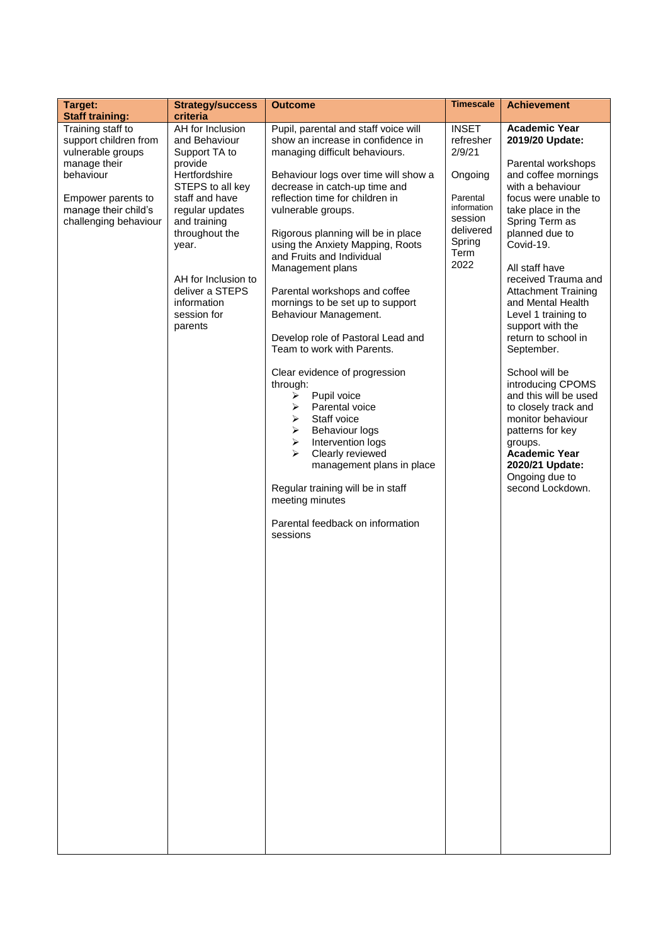| Target:<br><b>Staff training:</b>                                                                                                                                   | <b>Strategy/success</b><br>criteria                                                                                                                                                                                                                                   | <b>Outcome</b>                                                                                                                                                                                                                                                                                                                                                                                                                                                                                                                                                                                                                                                                                                                                                                                                                                                                                                      | <b>Timescale</b>                                                                                                            | <b>Achievement</b>                                                                                                                                                                                                                                                                                                                                                                                                                                                                                                                                                                                              |
|---------------------------------------------------------------------------------------------------------------------------------------------------------------------|-----------------------------------------------------------------------------------------------------------------------------------------------------------------------------------------------------------------------------------------------------------------------|---------------------------------------------------------------------------------------------------------------------------------------------------------------------------------------------------------------------------------------------------------------------------------------------------------------------------------------------------------------------------------------------------------------------------------------------------------------------------------------------------------------------------------------------------------------------------------------------------------------------------------------------------------------------------------------------------------------------------------------------------------------------------------------------------------------------------------------------------------------------------------------------------------------------|-----------------------------------------------------------------------------------------------------------------------------|-----------------------------------------------------------------------------------------------------------------------------------------------------------------------------------------------------------------------------------------------------------------------------------------------------------------------------------------------------------------------------------------------------------------------------------------------------------------------------------------------------------------------------------------------------------------------------------------------------------------|
| Training staff to<br>support children from<br>vulnerable groups<br>manage their<br>behaviour<br>Empower parents to<br>manage their child's<br>challenging behaviour | AH for Inclusion<br>and Behaviour<br>Support TA to<br>provide<br>Hertfordshire<br>STEPS to all key<br>staff and have<br>regular updates<br>and training<br>throughout the<br>year.<br>AH for Inclusion to<br>deliver a STEPS<br>information<br>session for<br>parents | Pupil, parental and staff voice will<br>show an increase in confidence in<br>managing difficult behaviours.<br>Behaviour logs over time will show a<br>decrease in catch-up time and<br>reflection time for children in<br>vulnerable groups.<br>Rigorous planning will be in place<br>using the Anxiety Mapping, Roots<br>and Fruits and Individual<br>Management plans<br>Parental workshops and coffee<br>mornings to be set up to support<br>Behaviour Management.<br>Develop role of Pastoral Lead and<br>Team to work with Parents.<br>Clear evidence of progression<br>through:<br>$\blacktriangleright$<br>Pupil voice<br>Parental voice<br>➤<br>Staff voice<br>➤<br>≻<br><b>Behaviour logs</b><br>Intervention logs<br>$\blacktriangleright$<br>➤<br>Clearly reviewed<br>management plans in place<br>Regular training will be in staff<br>meeting minutes<br>Parental feedback on information<br>sessions | <b>INSET</b><br>refresher<br>2/9/21<br>Ongoing<br>Parental<br>information<br>session<br>delivered<br>Spring<br>Term<br>2022 | <b>Academic Year</b><br>2019/20 Update:<br>Parental workshops<br>and coffee mornings<br>with a behaviour<br>focus were unable to<br>take place in the<br>Spring Term as<br>planned due to<br>Covid-19.<br>All staff have<br>received Trauma and<br><b>Attachment Training</b><br>and Mental Health<br>Level 1 training to<br>support with the<br>return to school in<br>September.<br>School will be<br>introducing CPOMS<br>and this will be used<br>to closely track and<br>monitor behaviour<br>patterns for key<br>groups.<br><b>Academic Year</b><br>2020/21 Update:<br>Ongoing due to<br>second Lockdown. |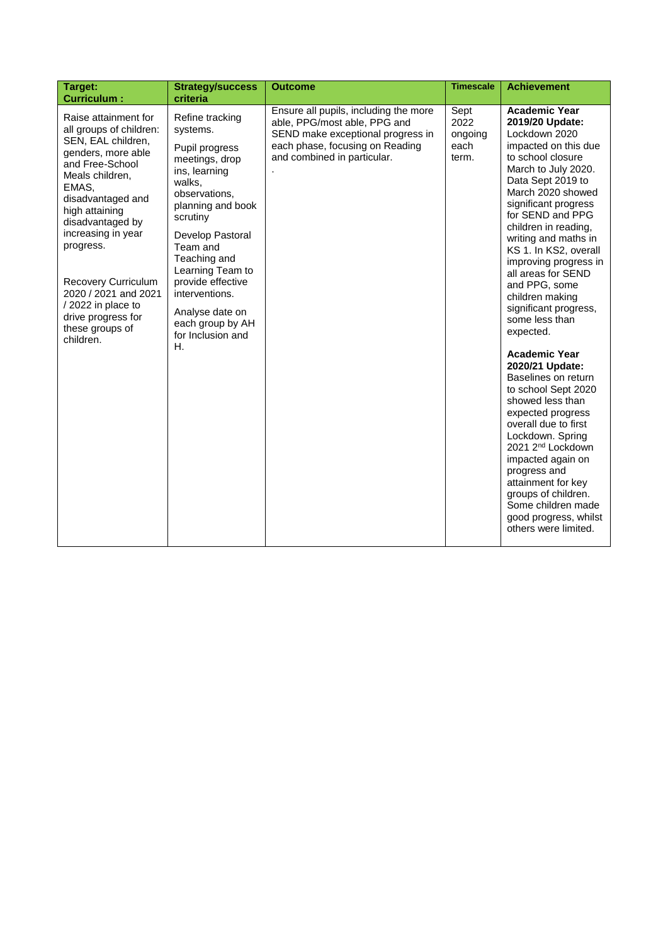| Ensure all pupils, including the more<br><b>Academic Year</b><br>Sept<br>Raise attainment for<br>Refine tracking<br>able, PPG/most able, PPG and<br>2022<br>2019/20 Update:<br>all groups of children:<br>systems.<br>SEND make exceptional progress in<br>Lockdown 2020<br>ongoing<br>SEN, EAL children,<br>each phase, focusing on Reading<br>each<br>Pupil progress<br>genders, more able<br>and combined in particular.<br>to school closure<br>term.<br>meetings, drop<br>and Free-School<br>March to July 2020.<br>ins, learning<br>Meals children,<br>Data Sept 2019 to<br>walks,<br>EMAS,<br>March 2020 showed<br>observations,<br>disadvantaged and<br>significant progress<br>planning and book<br>high attaining<br>for SEND and PPG<br>scrutiny<br>disadvantaged by<br>children in reading,<br>increasing in year<br>Develop Pastoral<br>writing and maths in<br>progress.<br>Team and<br>Teaching and<br>Learning Team to<br>all areas for SEND<br>provide effective<br>Recovery Curriculum<br>and PPG, some<br>interventions.<br>2020 / 2021 and 2021<br>children making<br>/2022 in place to<br>significant progress,<br>Analyse date on | Target:<br><b>Curriculum:</b> | <b>Strategy/success</b><br>criteria | <b>Outcome</b> | <b>Timescale</b> | <b>Achievement</b>                                                                                                                      |
|---------------------------------------------------------------------------------------------------------------------------------------------------------------------------------------------------------------------------------------------------------------------------------------------------------------------------------------------------------------------------------------------------------------------------------------------------------------------------------------------------------------------------------------------------------------------------------------------------------------------------------------------------------------------------------------------------------------------------------------------------------------------------------------------------------------------------------------------------------------------------------------------------------------------------------------------------------------------------------------------------------------------------------------------------------------------------------------------------------------------------------------------------------|-------------------------------|-------------------------------------|----------------|------------------|-----------------------------------------------------------------------------------------------------------------------------------------|
| each group by AH<br>these groups of<br>expected.<br>for Inclusion and<br>children.<br>Η.<br><b>Academic Year</b><br>2020/21 Update:<br>Baselines on return<br>to school Sept 2020<br>showed less than<br>expected progress<br>overall due to first<br>Lockdown. Spring<br>2021 2 <sup>nd</sup> Lockdown<br>impacted again on<br>progress and<br>attainment for key<br>groups of children.<br>others were limited.                                                                                                                                                                                                                                                                                                                                                                                                                                                                                                                                                                                                                                                                                                                                       | drive progress for            |                                     |                |                  | impacted on this due<br>KS 1. In KS2, overall<br>improving progress in<br>some less than<br>Some children made<br>good progress, whilst |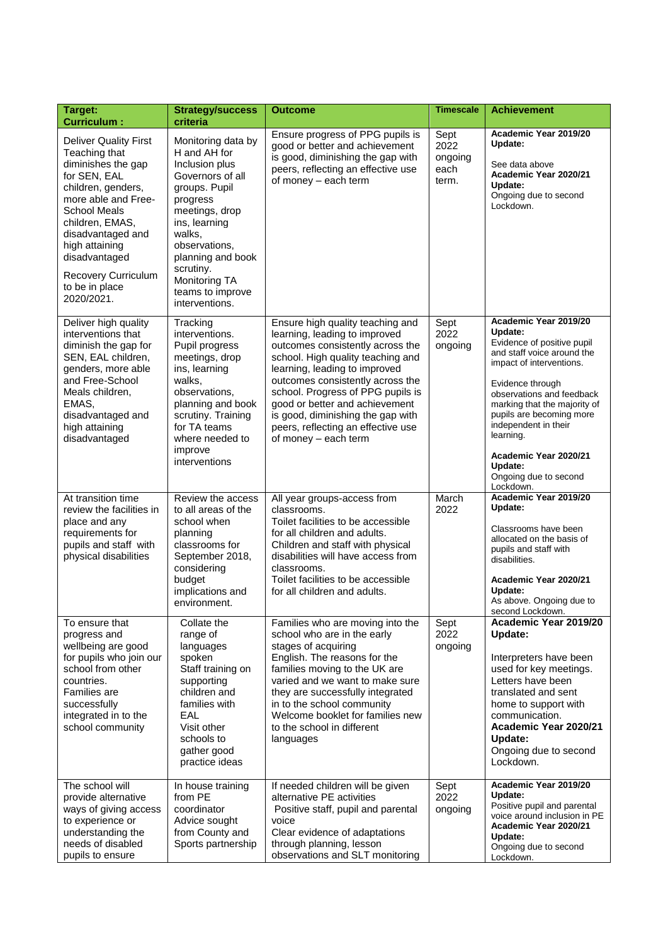| Target:<br><b>Curriculum:</b>                                                                                                                                                                                                                                                             | <b>Strategy/success</b><br>criteria                                                                                                                                                                                                                          | <b>Outcome</b>                                                                                                                                                                                                                                                                                                                                                                            | <b>Timescale</b>                         | <b>Achievement</b>                                                                                                                                                                                                                                                                                                                                   |
|-------------------------------------------------------------------------------------------------------------------------------------------------------------------------------------------------------------------------------------------------------------------------------------------|--------------------------------------------------------------------------------------------------------------------------------------------------------------------------------------------------------------------------------------------------------------|-------------------------------------------------------------------------------------------------------------------------------------------------------------------------------------------------------------------------------------------------------------------------------------------------------------------------------------------------------------------------------------------|------------------------------------------|------------------------------------------------------------------------------------------------------------------------------------------------------------------------------------------------------------------------------------------------------------------------------------------------------------------------------------------------------|
| <b>Deliver Quality First</b><br>Teaching that<br>diminishes the gap<br>for SEN, EAL<br>children, genders,<br>more able and Free-<br><b>School Meals</b><br>children, EMAS,<br>disadvantaged and<br>high attaining<br>disadvantaged<br>Recovery Curriculum<br>to be in place<br>2020/2021. | Monitoring data by<br>H and AH for<br>Inclusion plus<br>Governors of all<br>groups. Pupil<br>progress<br>meetings, drop<br>ins, learning<br>walks,<br>observations,<br>planning and book<br>scrutiny.<br>Monitoring TA<br>teams to improve<br>interventions. | Ensure progress of PPG pupils is<br>good or better and achievement<br>is good, diminishing the gap with<br>peers, reflecting an effective use<br>of money - each term                                                                                                                                                                                                                     | Sept<br>2022<br>ongoing<br>each<br>term. | Academic Year 2019/20<br>Update:<br>See data above<br>Academic Year 2020/21<br>Update:<br>Ongoing due to second<br>Lockdown.                                                                                                                                                                                                                         |
| Deliver high quality<br>interventions that<br>diminish the gap for<br>SEN, EAL children,<br>genders, more able<br>and Free-School<br>Meals children,<br>EMAS,<br>disadvantaged and<br>high attaining<br>disadvantaged                                                                     | Tracking<br>interventions.<br>Pupil progress<br>meetings, drop<br>ins, learning<br>walks.<br>observations,<br>planning and book<br>scrutiny. Training<br>for TA teams<br>where needed to<br>improve<br>interventions                                         | Ensure high quality teaching and<br>learning, leading to improved<br>outcomes consistently across the<br>school. High quality teaching and<br>learning, leading to improved<br>outcomes consistently across the<br>school. Progress of PPG pupils is<br>good or better and achievement<br>is good, diminishing the gap with<br>peers, reflecting an effective use<br>of money - each term | Sept<br>2022<br>ongoing                  | Academic Year 2019/20<br>Update:<br>Evidence of positive pupil<br>and staff voice around the<br>impact of interventions.<br>Evidence through<br>observations and feedback<br>marking that the majority of<br>pupils are becoming more<br>independent in their<br>learning.<br>Academic Year 2020/21<br>Update:<br>Ongoing due to second<br>Lockdown. |
| At transition time<br>review the facilities in<br>place and any<br>requirements for<br>pupils and staff with<br>physical disabilities                                                                                                                                                     | Review the access<br>to all areas of the<br>school when<br>planning<br>classrooms for<br>September 2018,<br>considering<br>budget<br>implications and<br>environment.                                                                                        | All year groups-access from<br>classrooms.<br>Toilet facilities to be accessible<br>for all children and adults.<br>Children and staff with physical<br>disabilities will have access from<br>classrooms.<br>Toilet facilities to be accessible<br>for all children and adults.                                                                                                           | March<br>2022                            | Academic Year 2019/20<br>Update:<br>Classrooms have been<br>allocated on the basis of<br>pupils and staff with<br>disabilities.<br>Academic Year 2020/21<br>Update:<br>As above. Ongoing due to<br>second Lockdown.                                                                                                                                  |
| To ensure that<br>progress and<br>wellbeing are good<br>for pupils who join our<br>school from other<br>countries.<br>Families are<br>successfully<br>integrated in to the<br>school community                                                                                            | Collate the<br>range of<br>languages<br>spoken<br>Staff training on<br>supporting<br>children and<br>families with<br>EAL<br>Visit other<br>schools to<br>gather good<br>practice ideas                                                                      | Families who are moving into the<br>school who are in the early<br>stages of acquiring<br>English. The reasons for the<br>families moving to the UK are<br>varied and we want to make sure<br>they are successfully integrated<br>in to the school community<br>Welcome booklet for families new<br>to the school in different<br>languages                                               | Sept<br>2022<br>ongoing                  | Academic Year 2019/20<br>Update:<br>Interpreters have been<br>used for key meetings.<br>Letters have been<br>translated and sent<br>home to support with<br>communication.<br>Academic Year 2020/21<br>Update:<br>Ongoing due to second<br>Lockdown.                                                                                                 |
| The school will<br>provide alternative<br>ways of giving access<br>to experience or<br>understanding the<br>needs of disabled<br>pupils to ensure                                                                                                                                         | In house training<br>from PE<br>coordinator<br>Advice sought<br>from County and<br>Sports partnership                                                                                                                                                        | If needed children will be given<br>alternative PE activities<br>Positive staff, pupil and parental<br>voice<br>Clear evidence of adaptations<br>through planning, lesson<br>observations and SLT monitoring                                                                                                                                                                              | Sept<br>2022<br>ongoing                  | Academic Year 2019/20<br>Update:<br>Positive pupil and parental<br>voice around inclusion in PE<br>Academic Year 2020/21<br>Update:<br>Ongoing due to second<br>Lockdown.                                                                                                                                                                            |